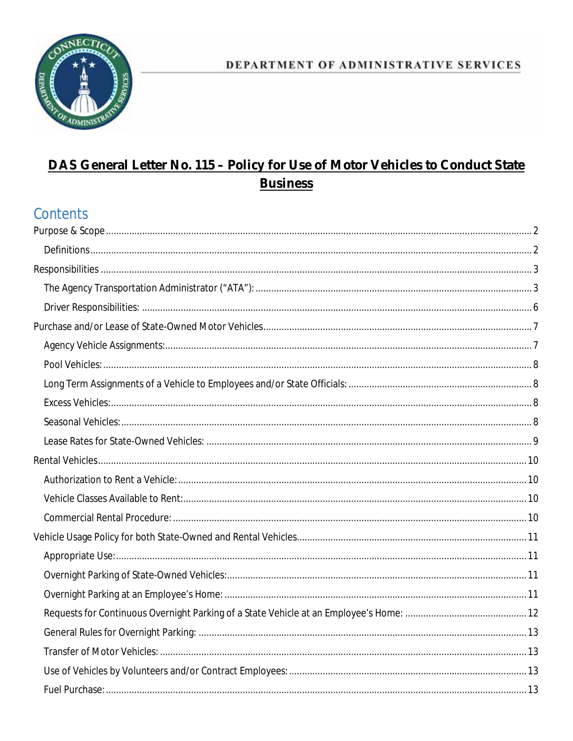

### DEPARTMENT OF ADMINISTRATIVE SERVICES

# DAS General Letter No. 115 - Policy for Use of Motor Vehicles to Conduct State **Business**

# Contents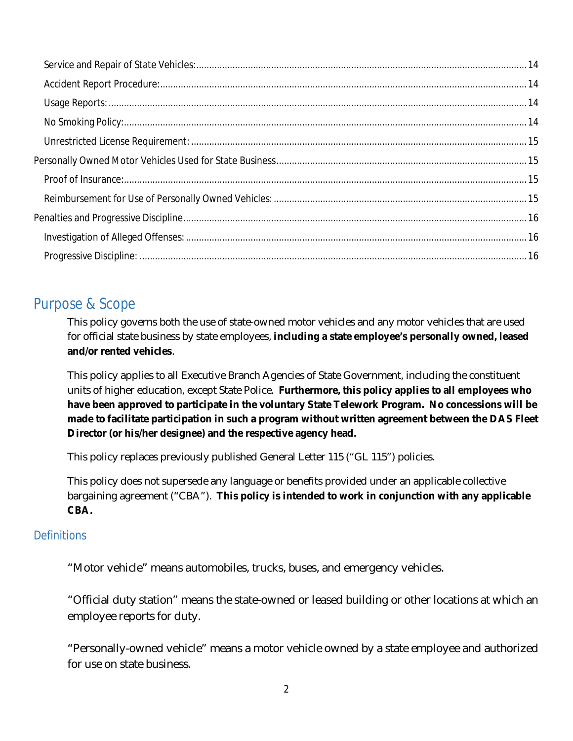## <span id="page-1-0"></span>Purpose & Scope

This policy governs both the use of state-owned motor vehicles and any motor vehicles that are used for official state business by state employees, **including a state employee's personally owned, leased and/or rented vehicles**.

This policy applies to all Executive Branch Agencies of State Government, including the constituent units of higher education, except State Police. **Furthermore, this policy applies to all employees who have been approved to participate in the voluntary State Telework Program. No concessions will be made to facilitate participation in such a program without written agreement between the DAS Fleet Director (or his/her designee) and the respective agency head.**

This policy replaces previously published General Letter 115 ("GL 115") policies.

This policy does not supersede any language or benefits provided under an applicable collective bargaining agreement ("CBA"). **This policy is intended to work in conjunction with any applicable CBA.**

#### <span id="page-1-1"></span>**Definitions**

"Motor vehicle" means automobiles, trucks, buses, and emergency vehicles.

"Official duty station" means the state-owned or leased building or other locations at which an employee reports for duty.

"Personally-owned vehicle" means a motor vehicle owned by a state employee and authorized for use on state business.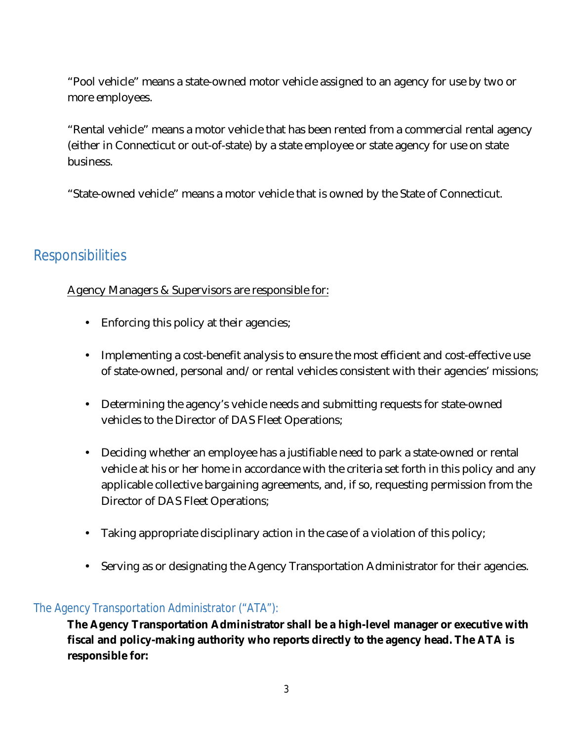"Pool vehicle" means a state-owned motor vehicle assigned to an agency for use by two or more employees.

"Rental vehicle" means a motor vehicle that has been rented from a commercial rental agency (either in Connecticut or out-of-state) by a state employee or state agency for use on state business.

"State-owned vehicle" means a motor vehicle that is owned by the State of Connecticut.

## <span id="page-2-0"></span>Responsibilities

#### Agency Managers & Supervisors are responsible for:

- $\mathbf{L}$ Enforcing this policy at their agencies;
- Implementing a cost-benefit analysis to ensure the most efficient and cost-effective use of state-owned, personal and/or rental vehicles consistent with their agencies' missions;
- Determining the agency's vehicle needs and submitting requests for state-owned vehicles to the Director of DAS Fleet Operations;
- Deciding whether an employee has a justifiable need to park a state-owned or rental vehicle at his or her home in accordance with the criteria set forth in this policy and any applicable collective bargaining agreements, and, if so, requesting permission from the Director of DAS Fleet Operations;
- Taking appropriate disciplinary action in the case of a violation of this policy;
- Serving as or designating the Agency Transportation Administrator for their agencies.

#### <span id="page-2-1"></span>The Agency Transportation Administrator ("ATA"):

**The Agency Transportation Administrator shall be a high-level manager or executive with fiscal and policy-making authority who reports directly to the agency head. The ATA is responsible for:**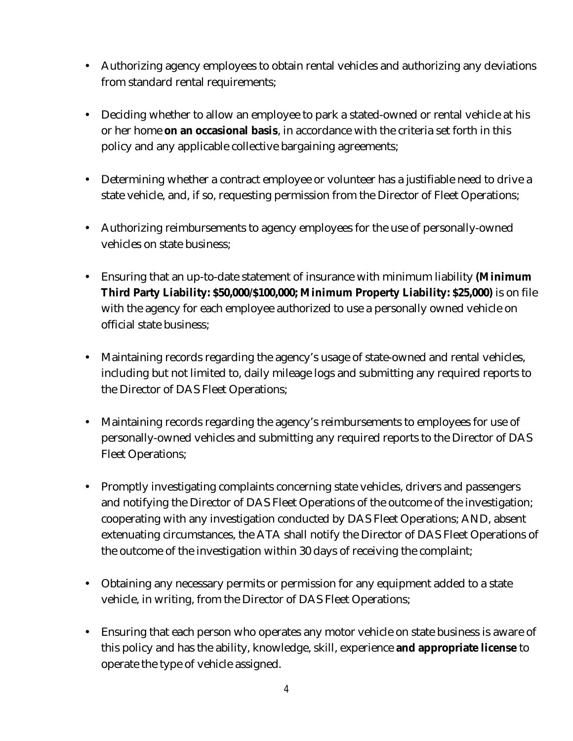- Authorizing agency employees to obtain rental vehicles and authorizing any deviations  $\mathbf{L}$ from standard rental requirements;
- Deciding whether to allow an employee to park a stated-owned or rental vehicle at his  $\mathbf{L}$ or her home **on an occasional basis**, in accordance with the criteria set forth in this policy and any applicable collective bargaining agreements;
- a. Determining whether a contract employee or volunteer has a justifiable need to drive a state vehicle, and, if so, requesting permission from the Director of Fleet Operations;
- Authorizing reimbursements to agency employees for the use of personally-owned k. vehicles on state business;
- Ensuring that an up-to-date statement of insurance with minimum liability **(Minimum Third Party Liability: \$50,000/\$100,000; Minimum Property Liability: \$25,000)** is on file with the agency for each employee authorized to use a personally owned vehicle on official state business;
- Maintaining records regarding the agency's usage of state-owned and rental vehicles,  $\mathbf{r}$ including but not limited to, daily mileage logs and submitting any required reports to the Director of DAS Fleet Operations;
- Maintaining records regarding the agency's reimbursements to employees for use of personally-owned vehicles and submitting any required reports to the Director of DAS Fleet Operations;
- Promptly investigating complaints concerning state vehicles, drivers and passengers and notifying the Director of DAS Fleet Operations of the outcome of the investigation; cooperating with any investigation conducted by DAS Fleet Operations; AND, absent extenuating circumstances, the ATA shall notify the Director of DAS Fleet Operations of the outcome of the investigation within 30 days of receiving the complaint;
- Obtaining any necessary permits or permission for any equipment added to a state vehicle, in writing, from the Director of DAS Fleet Operations;
- Ensuring that each person who operates any motor vehicle on state business is aware of this policy and has the ability, knowledge, skill, experience **and appropriate license** to operate the type of vehicle assigned.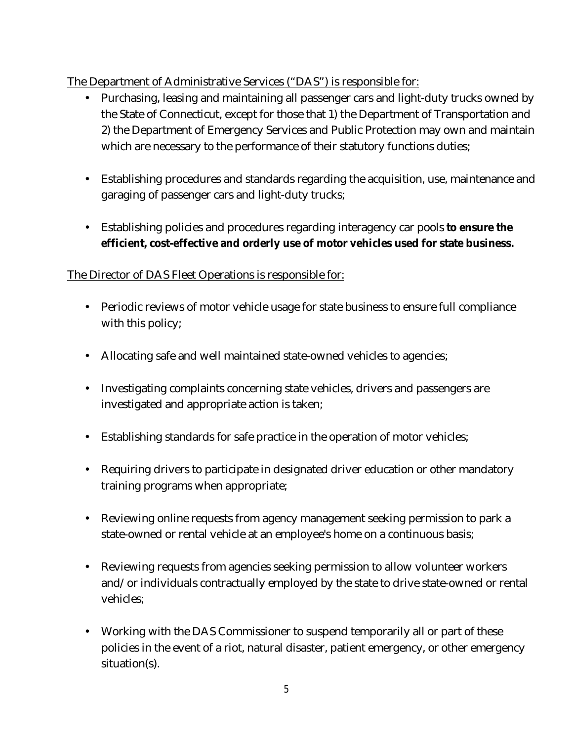#### The Department of Administrative Services ("DAS") is responsible for:

- Purchasing, leasing and maintaining all passenger cars and light-duty trucks owned by the State of Connecticut, except for those that 1) the Department of Transportation and 2) the Department of Emergency Services and Public Protection may own and maintain which are necessary to the performance of their statutory functions duties;
- Establishing procedures and standards regarding the acquisition, use, maintenance and garaging of passenger cars and light-duty trucks;
- Establishing policies and procedures regarding interagency car pools **to ensure the efficient, cost-effective and orderly use of motor vehicles used for state business.**

#### The Director of DAS Fleet Operations is responsible for:

- Periodic reviews of motor vehicle usage for state business to ensure full compliance with this policy;
- Allocating safe and well maintained state-owned vehicles to agencies;
- $\mathcal{L}^{\text{max}}$ Investigating complaints concerning state vehicles, drivers and passengers are investigated and appropriate action is taken;
- Establishing standards for safe practice in the operation of motor vehicles;
- Requiring drivers to participate in designated driver education or other mandatory  $\mathbf{r}$ training programs when appropriate;
- Reviewing online requests from agency management seeking permission to park a state-owned or rental vehicle at an employee's home on a continuous basis;
- Reviewing requests from agencies seeking permission to allow volunteer workers  $\mathcal{L}^{\pm}$ and/or individuals contractually employed by the state to drive state-owned or rental vehicles;
- Working with the DAS Commissioner to suspend temporarily all or part of these policies in the event of a riot, natural disaster, patient emergency, or other emergency situation(s).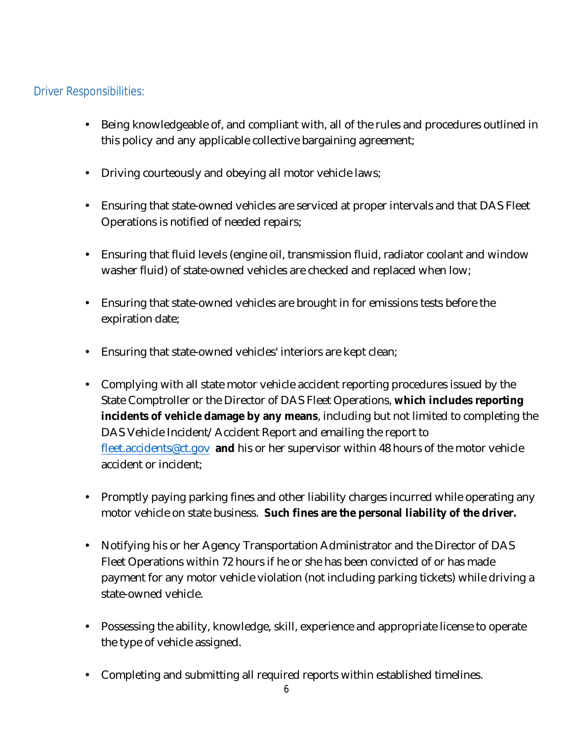#### <span id="page-5-0"></span>Driver Responsibilities:

- Being knowledgeable of, and compliant with, all of the rules and procedures outlined in ä, this policy and any applicable collective bargaining agreement;
- Driving courteously and obeying all motor vehicle laws;
- Ensuring that state-owned vehicles are serviced at proper intervals and that DAS Fleet Operations is notified of needed repairs;
- Ensuring that fluid levels (engine oil, transmission fluid, radiator coolant and window a. washer fluid) of state-owned vehicles are checked and replaced when low;
- Ensuring that state-owned vehicles are brought in for emissions tests before the expiration date;
- Ensuring that state-owned vehicles' interiors are kept clean;
- Complying with all state motor vehicle accident reporting procedures issued by the State Comptroller or the Director of DAS Fleet Operations, **which includes reporting incidents of vehicle damage by any means**, including but not limited to completing the DAS Vehicle Incident/Accident Report and emailing the report to [fleet.accidents@ct.gov](mailto:fleet.accidents@ct.gov) **and** his or her supervisor within 48 hours of the motor vehicle accident or incident;
- Promptly paying parking fines and other liability charges incurred while operating any motor vehicle on state business. **Such fines are the personal liability of the driver.**
- Notifying his or her Agency Transportation Administrator and the Director of DAS Fleet Operations within 72 hours if he or she has been convicted of or has made payment for any motor vehicle violation (not including parking tickets) while driving a state-owned vehicle.
- Possessing the ability, knowledge, skill, experience and appropriate license to operate the type of vehicle assigned.
- Completing and submitting all required reports within established timelines.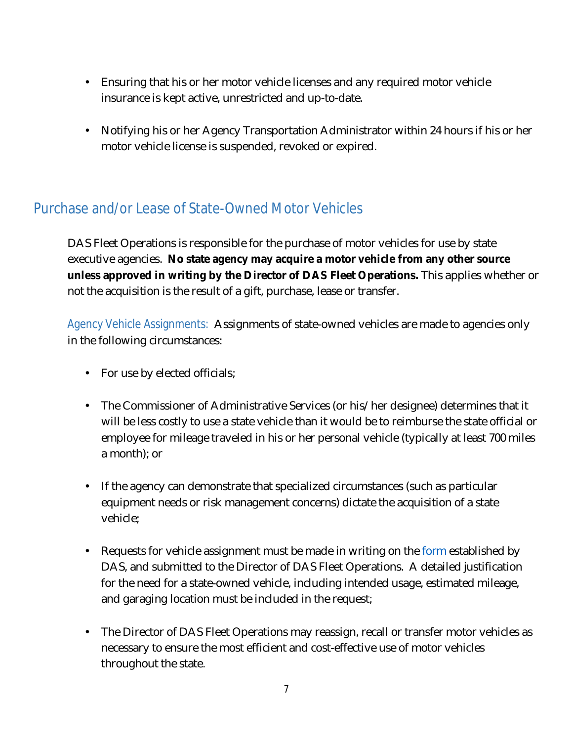- Ensuring that his or her motor vehicle licenses and any required motor vehicle insurance is kept active, unrestricted and up-to-date.
- Notifying his or her Agency Transportation Administrator within 24 hours if his or her motor vehicle license is suspended, revoked or expired.

# <span id="page-6-0"></span>Purchase and/or Lease of State-Owned Motor Vehicles

DAS Fleet Operations is responsible for the purchase of motor vehicles for use by state executive agencies. **No state agency may acquire a motor vehicle from any other source unless approved in writing by the Director of DAS Fleet Operations.** This applies whether or not the acquisition is the result of a gift, purchase, lease or transfer.

<span id="page-6-1"></span>Agency Vehicle Assignments: Assignments of state-owned vehicles are made to agencies only in the following circumstances:

- For use by elected officials;
- $\mathbf{L}$ The Commissioner of Administrative Services (or his/her designee) determines that it will be less costly to use a state vehicle than it would be to reimburse the state official or employee for mileage traveled in his or her personal vehicle (typically at least 700 miles a month); or
- If the agency can demonstrate that specialized circumstances (such as particular equipment needs or risk management concerns) dictate the acquisition of a state vehicle;
- Requests for vehicle assignment must be made in writing on the [form](http://www.das.state.ct.us/Fleet/VEHICLE_REQUEST_FORM.pdf) established by DAS, and submitted to the Director of DAS Fleet Operations. A detailed justification for the need for a state-owned vehicle, including intended usage, estimated mileage, and garaging location must be included in the request;
- The Director of DAS Fleet Operations may reassign, recall or transfer motor vehicles as necessary to ensure the most efficient and cost-effective use of motor vehicles throughout the state.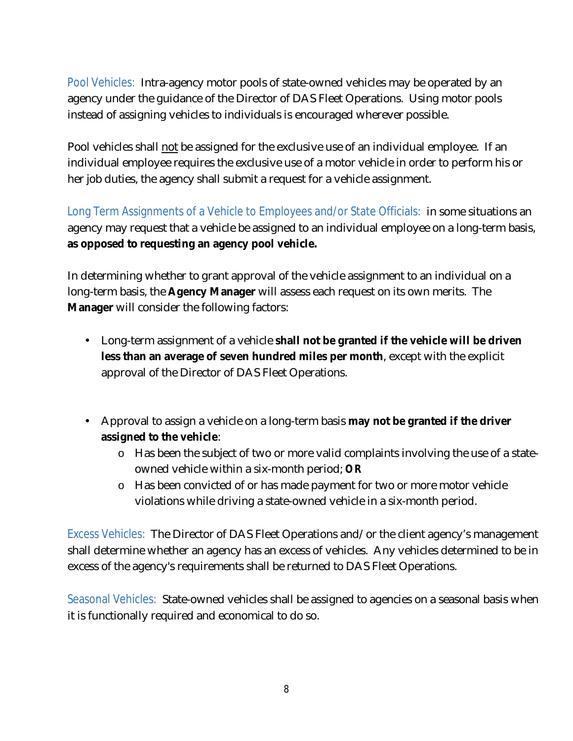<span id="page-7-0"></span>Pool Vehicles: Intra-agency motor pools of state-owned vehicles may be operated by an agency under the guidance of the Director of DAS Fleet Operations. Using motor pools instead of assigning vehicles to individuals is encouraged wherever possible.

Pool vehicles shall not be assigned for the exclusive use of an individual employee. If an individual employee requires the exclusive use of a motor vehicle in order to perform his or her job duties, the agency shall submit a request for a vehicle assignment.

<span id="page-7-1"></span>Long Term Assignments of a Vehicle to Employees and/or State Officials: in some situations an agency may request that a vehicle be assigned to an individual employee on a long-term basis, **as opposed to requesting an agency pool vehicle.**

In determining whether to grant approval of the vehicle assignment to an individual on a long-term basis, the **Agency Manager** will assess each request on its own merits. The **Manager** will consider the following factors:

- Long-term assignment of a vehicle **shall not be granted if the vehicle will be driven less than an average of seven hundred miles per month**, except with the explicit approval of the Director of DAS Fleet Operations.
- Approval to assign a vehicle on a long-term basis **may not be granted if the driver assigned to the vehicle**:
	- o Has been the subject of two or more valid complaints involving the use of a stateowned vehicle within a six-month period; *OR*
	- o Has been convicted of or has made payment for two or more motor vehicle violations while driving a state-owned vehicle in a six-month period.

<span id="page-7-2"></span>Excess Vehicles: The Director of DAS Fleet Operations and/or the client agency's management shall determine whether an agency has an excess of vehicles. Any vehicles determined to be in excess of the agency's requirements shall be returned to DAS Fleet Operations.

<span id="page-7-3"></span>Seasonal Vehicles: State-owned vehicles shall be assigned to agencies on a seasonal basis when it is functionally required and economical to do so.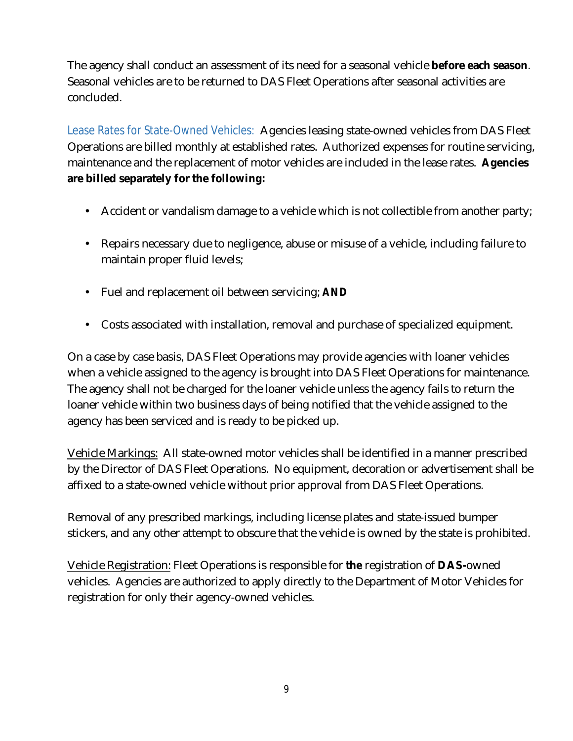The agency shall conduct an assessment of its need for a seasonal vehicle **before each season**. Seasonal vehicles are to be returned to DAS Fleet Operations after seasonal activities are concluded.

<span id="page-8-0"></span>Lease Rates for State-Owned Vehicles: Agencies leasing state-owned vehicles from DAS Fleet Operations are billed monthly at established rates. Authorized expenses for routine servicing, maintenance and the replacement of motor vehicles are included in the lease rates. **Agencies are billed separately for the following:**

- Accident or vandalism damage to a vehicle which is not collectible from another party;
- Repairs necessary due to negligence, abuse or misuse of a vehicle, including failure to  $\mathbf{r}$ maintain proper fluid levels;
- Fuel and replacement oil between servicing; *AND*  $\mathbf{r}$
- Costs associated with installation, removal and purchase of specialized equipment.

On a case by case basis, DAS Fleet Operations may provide agencies with loaner vehicles when a vehicle assigned to the agency is brought into DAS Fleet Operations for maintenance. The agency shall not be charged for the loaner vehicle unless the agency fails to return the loaner vehicle within two business days of being notified that the vehicle assigned to the agency has been serviced and is ready to be picked up.

Vehicle Markings: All state-owned motor vehicles shall be identified in a manner prescribed by the Director of DAS Fleet Operations. No equipment, decoration or advertisement shall be affixed to a state-owned vehicle without prior approval from DAS Fleet Operations.

Removal of any prescribed markings, including license plates and state-issued bumper stickers, and any other attempt to obscure that the vehicle is owned by the state is prohibited.

Vehicle Registration: Fleet Operations is responsible for **the** registration of **DAS-**owned vehicles. Agencies are authorized to apply directly to the Department of Motor Vehicles for registration for only their agency-owned vehicles.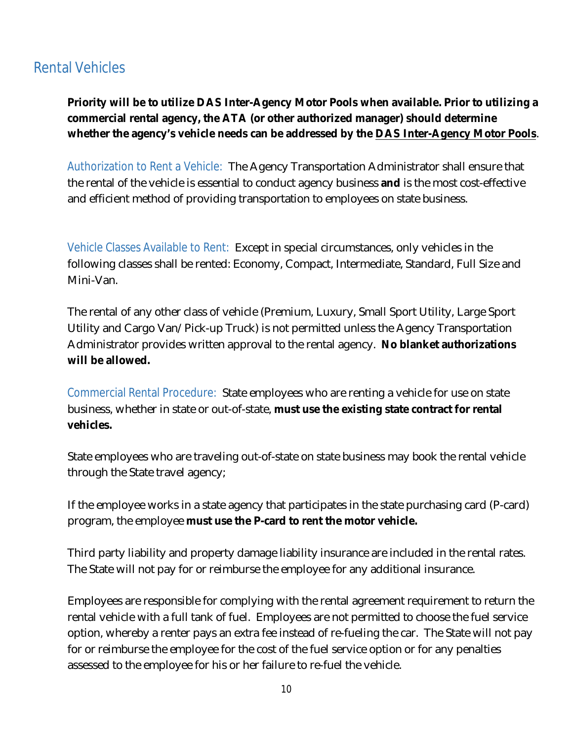### <span id="page-9-0"></span>Rental Vehicles

**Priority will be to utilize DAS Inter-Agency Motor Pools when available. Prior to utilizing a commercial rental agency, the ATA (or other authorized manager) should determine whether the agency's vehicle needs can be addressed by the [DAS Inter-Agency Motor Pools](http://www.das.state.ct.us/Fleet/Rental%20procedures%20resonsibilities%20and%20fees%20--%20rev.pdf)**.

<span id="page-9-1"></span>Authorization to Rent a Vehicle: The Agency Transportation Administrator shall ensure that the rental of the vehicle is essential to conduct agency business **and** is the most cost-effective and efficient method of providing transportation to employees on state business.

<span id="page-9-2"></span>Vehicle Classes Available to Rent: Except in special circumstances, only vehicles in the following classes shall be rented: Economy, Compact, Intermediate, Standard, Full Size and Mini-Van.

The rental of any other class of vehicle (Premium, Luxury, Small Sport Utility, Large Sport Utility and Cargo Van/Pick-up Truck) is not permitted unless the Agency Transportation Administrator provides written approval to the rental agency. **No blanket authorizations will be allowed.**

<span id="page-9-3"></span>Commercial Rental Procedure: State employees who are renting a vehicle for use on state business, whether in state or out-of-state, **must use the existing state contract for rental vehicles.**

State employees who are traveling out-of-state on state business may book the rental vehicle through the State travel agency;

If the employee works in a state agency that participates in the state purchasing card (P-card) program, the employee **must use the P-card to rent the motor vehicle.**

Third party liability and property damage liability insurance are included in the rental rates. The State will not pay for or reimburse the employee for any additional insurance.

Employees are responsible for complying with the rental agreement requirement to return the rental vehicle with a full tank of fuel. Employees are not permitted to choose the fuel service option, whereby a renter pays an extra fee instead of re-fueling the car. The State will not pay for or reimburse the employee for the cost of the fuel service option or for any penalties assessed to the employee for his or her failure to re-fuel the vehicle.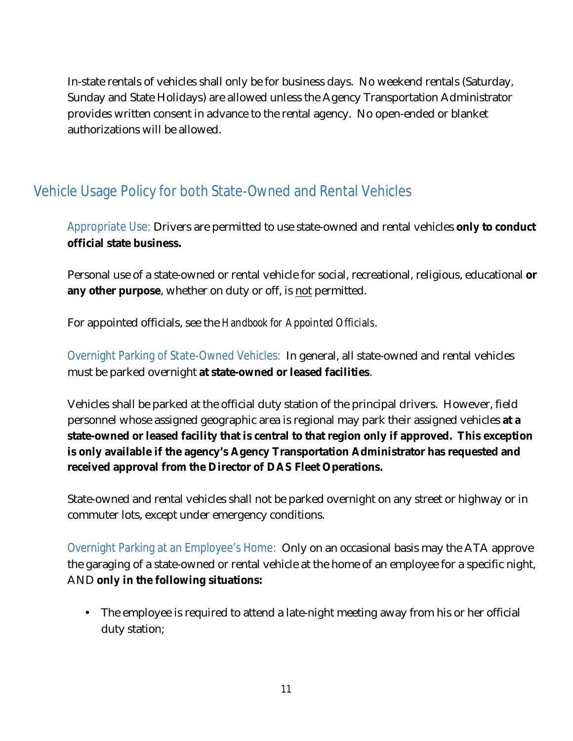In-state rentals of vehicles shall only be for business days. No weekend rentals (Saturday, Sunday and State Holidays) are allowed unless the Agency Transportation Administrator provides written consent in advance to the rental agency. No open-ended or blanket authorizations will be allowed.

# <span id="page-10-0"></span>Vehicle Usage Policy for both State-Owned and Rental Vehicles

<span id="page-10-1"></span>Appropriate Use: Drivers are permitted to use state-owned and rental vehicles **only to conduct official state business.**

Personal use of a state-owned or rental vehicle for social, recreational, religious, educational **or any other purpose**, whether on duty or off, is not permitted.

For appointed officials, see the *Handbook for Appointed Officials*.

<span id="page-10-2"></span>Overnight Parking of State-Owned Vehicles: In general, all state-owned and rental vehicles must be parked overnight **at state-owned or leased facilities**.

Vehicles shall be parked at the official duty station of the principal drivers. However, field personnel whose assigned geographic area is regional may park their assigned vehicles **at a state-owned or leased facility that is central to that region only if approved. This exception is only available if the agency's Agency Transportation Administrator has requested and received approval from the Director of DAS Fleet Operations.**

State-owned and rental vehicles shall not be parked overnight on any street or highway or in commuter lots, except under emergency conditions.

<span id="page-10-3"></span>Overnight Parking at an Employee's Home: Only on an occasional basis may the ATA approve the garaging of a state-owned or rental vehicle at the home of an employee for a specific night, AND **only in the following situations:**

The employee is required to attend a late-night meeting away from his or her official duty station;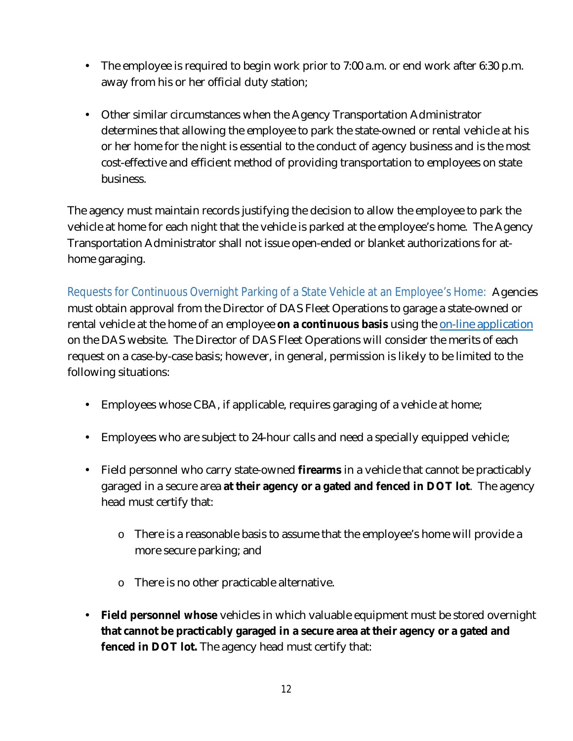- The employee is required to begin work prior to 7:00 a.m. or end work after 6:30 p.m. ä, away from his or her official duty station;
- $\mathbf{L}$ Other similar circumstances when the Agency Transportation Administrator determines that allowing the employee to park the state-owned or rental vehicle at his or her home for the night is essential to the conduct of agency business and is the most cost-effective and efficient method of providing transportation to employees on state business.

The agency must maintain records justifying the decision to allow the employee to park the vehicle at home for each night that the vehicle is parked at the employee's home. The Agency Transportation Administrator shall not issue open-ended or blanket authorizations for athome garaging.

<span id="page-11-0"></span>Requests for Continuous Overnight Parking of a State Vehicle at an Employee's Home: Agencies must obtain approval from the Director of DAS Fleet Operations to garage a state-owned or rental vehicle at the home of an employee **on a continuous basis** using the [on-line application](http://www.das.state.ct.us/Fleet/NewAccountHG.pdf) on the DAS website. The Director of DAS Fleet Operations will consider the merits of each request on a case-by-case basis; however, in general, permission is likely to be limited to the following situations:

- Employees whose CBA, if applicable, requires garaging of a vehicle at home;
- Employees who are subject to 24-hour calls and need a specially equipped vehicle;
- Field personnel who carry state-owned **firearms** in a vehicle that cannot be practicably  $\mathbf{r}$ garaged in a secure area **at their agency or a gated and fenced in DOT lot**. The agency head must certify that:
	- o There is a reasonable basis to assume that the employee's home will provide a more secure parking; and
	- o There is no other practicable alternative.
- **Field personnel whose** vehicles in which valuable equipment must be stored overnight **that cannot be practicably garaged in a secure area at their agency or a gated and fenced in DOT lot.** The agency head must certify that: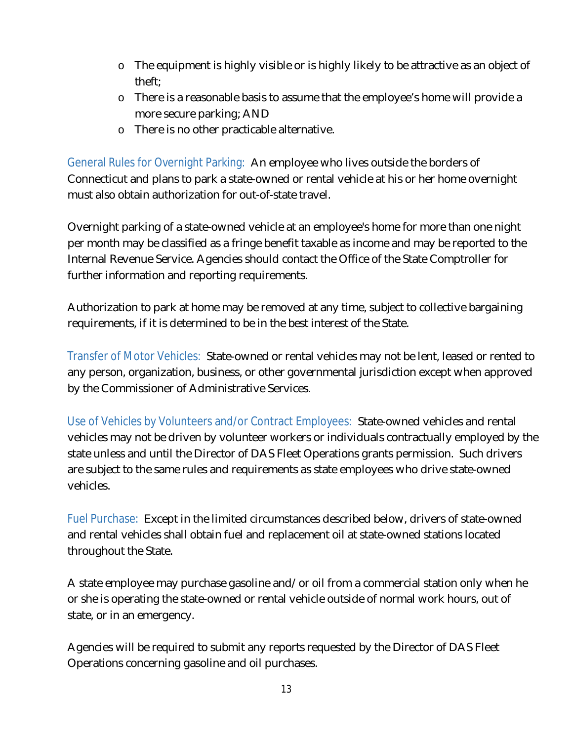- o The equipment is highly visible or is highly likely to be attractive as an object of theft;
- o There is a reasonable basis to assume that the employee's home will provide a more secure parking; AND
- o There is no other practicable alternative.

<span id="page-12-0"></span>General Rules for Overnight Parking: An employee who lives outside the borders of Connecticut and plans to park a state-owned or rental vehicle at his or her home overnight must also obtain authorization for out-of-state travel.

Overnight parking of a state-owned vehicle at an employee's home for more than one night per month may be classified as a fringe benefit taxable as income and may be reported to the Internal Revenue Service. Agencies should contact the Office of the State Comptroller for further information and reporting requirements.

Authorization to park at home may be removed at any time, subject to collective bargaining requirements, if it is determined to be in the best interest of the State.

<span id="page-12-1"></span>Transfer of Motor Vehicles: State-owned or rental vehicles may not be lent, leased or rented to any person, organization, business, or other governmental jurisdiction except when approved by the Commissioner of Administrative Services.

<span id="page-12-2"></span>Use of Vehicles by Volunteers and/or Contract Employees: State-owned vehicles and rental vehicles may not be driven by volunteer workers or individuals contractually employed by the state unless and until the Director of DAS Fleet Operations grants permission. Such drivers are subject to the same rules and requirements as state employees who drive state-owned vehicles.

<span id="page-12-3"></span>Fuel Purchase: Except in the limited circumstances described below, drivers of state-owned and rental vehicles shall obtain fuel and replacement oil at state-owned stations located throughout the State.

A state employee may purchase gasoline and/or oil from a commercial station only when he or she is operating the state-owned or rental vehicle outside of normal work hours, out of state, or in an emergency.

Agencies will be required to submit any reports requested by the Director of DAS Fleet Operations concerning gasoline and oil purchases.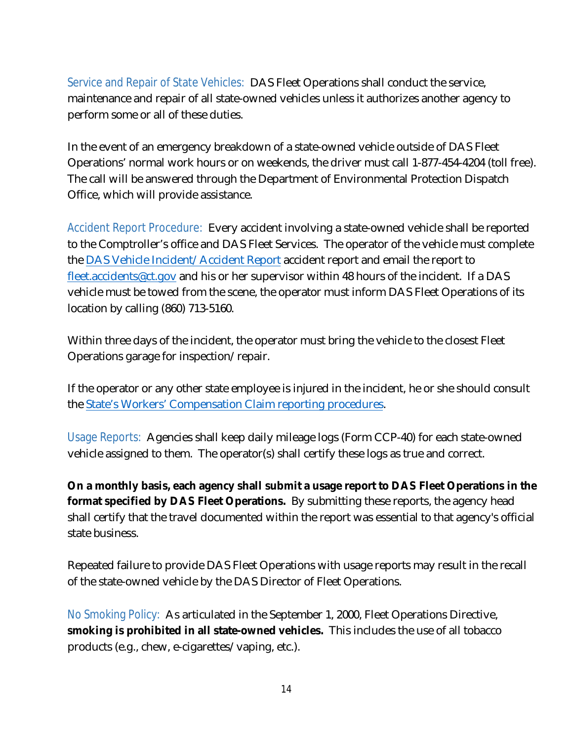<span id="page-13-0"></span>Service and Repair of State Vehicles: DAS Fleet Operations shall conduct the service, maintenance and repair of all state-owned vehicles unless it authorizes another agency to perform some or all of these duties.

In the event of an emergency breakdown of a state-owned vehicle outside of DAS Fleet Operations' normal work hours or on weekends, the driver must call 1-877-454-4204 (toll free). The call will be answered through the Department of Environmental Protection Dispatch Office, which will provide assistance.

<span id="page-13-1"></span>Accident Report Procedure: Every accident involving a state-owned vehicle shall be reported to the Comptroller's office and DAS Fleet Services. The operator of the vehicle must complete the [DAS Vehicle Incident/Accident Report](https://portal.ct.gov/-/media/DAS/Fleet-Operations/Vehicle-Accident-Form.pdf?la=en) accident report and email the report to [fleet.accidents@ct.gov](mailto:fleet.accidents@ct.gov) and his or her supervisor within 48 hours of the incident. If a DAS vehicle must be towed from the scene, the operator must inform DAS Fleet Operations of its location by calling (860) 713-5160.

Within three days of the incident, the operator must bring the vehicle to the closest Fleet Operations garage for inspection/repair.

If the operator or any other state employee is injured in the incident, he or she should consult the [State's Workers' Compensation Claim reporting procedures.](http://das.ct.gov/cr1.aspx?page=49)

<span id="page-13-2"></span>Usage Reports: Agencies shall keep daily mileage logs (Form CCP-40) for each state-owned vehicle assigned to them. The operator(s) shall certify these logs as true and correct.

**On a monthly basis, each agency shall submit a usage report to DAS Fleet Operations in the format specified by DAS Fleet Operations.** By submitting these reports, the agency head shall certify that the travel documented within the report was essential to that agency's official state business.

Repeated failure to provide DAS Fleet Operations with usage reports may result in the recall of the state-owned vehicle by the DAS Director of Fleet Operations.

<span id="page-13-3"></span>No Smoking Policy: As articulated in the September 1, 2000, Fleet Operations Directive, **smoking is prohibited in all state-owned vehicles.** This includes the use of all tobacco products (e.g., chew, e-cigarettes/vaping, etc.).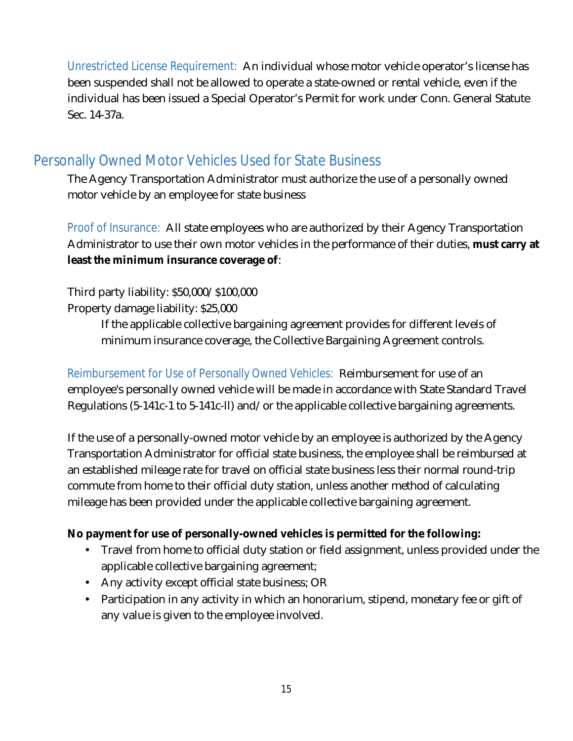<span id="page-14-0"></span>Unrestricted License Requirement: An individual whose motor vehicle operator's license has been suspended shall not be allowed to operate a state-owned or rental vehicle, even if the individual has been issued a Special Operator's Permit for work under Conn. General Statute Sec. 14-37a.

### <span id="page-14-1"></span>Personally Owned Motor Vehicles Used for State Business

The Agency Transportation Administrator must authorize the use of a personally owned motor vehicle by an employee for state business

<span id="page-14-2"></span>Proof of Insurance: All state employees who are authorized by their Agency Transportation Administrator to use their own motor vehicles in the performance of their duties, **must carry at least the minimum insurance coverage of**:

Third party liability: \$50,000/\$100,000

Property damage liability: \$25,000

If the applicable collective bargaining agreement provides for different levels of minimum insurance coverage, the Collective Bargaining Agreement controls.

<span id="page-14-3"></span>Reimbursement for Use of Personally Owned Vehicles: Reimbursement for use of an employee's personally owned vehicle will be made in accordance with State Standard Travel Regulations (5-141c-1 to 5-141c-ll) and/or the applicable collective bargaining agreements.

If the use of a personally-owned motor vehicle by an employee is authorized by the Agency Transportation Administrator for official state business, the employee shall be reimbursed at an established mileage rate for travel on official state business less their normal round-trip commute from home to their official duty station, unless another method of calculating mileage has been provided under the applicable collective bargaining agreement.

#### **No payment for use of personally-owned vehicles is permitted for the following:**

- Travel from home to official duty station or field assignment, unless provided under the  $\mathbf{L}$ applicable collective bargaining agreement;
- Any activity except official state business; OR
- Participation in any activity in which an honorarium, stipend, monetary fee or gift of  $\mathcal{L}^{\text{max}}$ any value is given to the employee involved.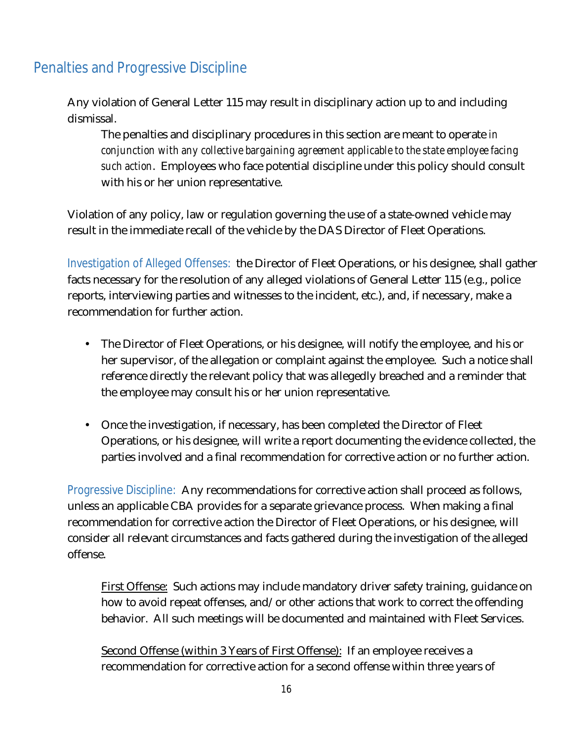## <span id="page-15-0"></span>Penalties and Progressive Discipline

Any violation of General Letter 115 may result in disciplinary action up to and including dismissal.

The penalties and disciplinary procedures in this section are meant to operate *in conjunction with any collective bargaining agreement applicable to the state employee facing such action*. Employees who face potential discipline under this policy should consult with his or her union representative.

Violation of any policy, law or regulation governing the use of a state-owned vehicle may result in the immediate recall of the vehicle by the DAS Director of Fleet Operations.

<span id="page-15-1"></span>Investigation of Alleged Offenses: the Director of Fleet Operations, or his designee, shall gather facts necessary for the resolution of any alleged violations of General Letter 115 (e.g., police reports, interviewing parties and witnesses to the incident, etc.), and, if necessary, make a recommendation for further action.

- The Director of Fleet Operations, or his designee, will notify the employee, and his or her supervisor, of the allegation or complaint against the employee. Such a notice shall reference directly the relevant policy that was allegedly breached and a reminder that the employee may consult his or her union representative.
- Once the investigation, if necessary, has been completed the Director of Fleet Operations, or his designee, will write a report documenting the evidence collected, the parties involved and a final recommendation for corrective action or no further action.

<span id="page-15-2"></span>Progressive Discipline: Any recommendations for corrective action shall proceed as follows, unless an applicable CBA provides for a separate grievance process. When making a final recommendation for corrective action the Director of Fleet Operations, or his designee, will consider all relevant circumstances and facts gathered during the investigation of the alleged offense.

First Offense: Such actions may include mandatory driver safety training, guidance on how to avoid repeat offenses, and/or other actions that work to correct the offending behavior. All such meetings will be documented and maintained with Fleet Services.

Second Offense (within 3 Years of First Offense): If an employee receives a recommendation for corrective action for a second offense within three years of